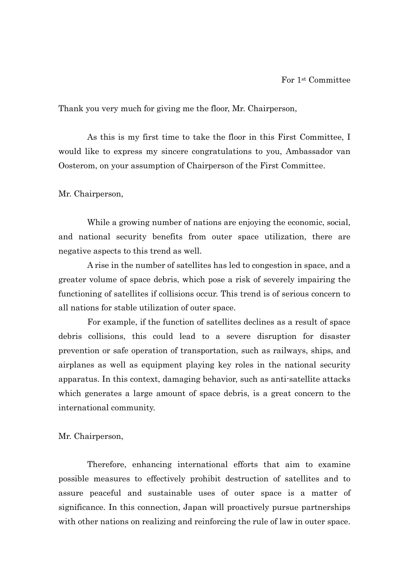Thank you very much for giving me the floor, Mr. Chairperson,

As this is my first time to take the floor in this First Committee, I would like to express my sincere congratulations to you, Ambassador van Oosterom, on your assumption of Chairperson of the First Committee.

Mr. Chairperson,

While a growing number of nations are enjoying the economic, social, and national security benefits from outer space utilization, there are negative aspects to this trend as well.

A rise in the number of satellites has led to congestion in space, and a greater volume of space debris, which pose a risk of severely impairing the functioning of satellites if collisions occur. This trend is of serious concern to all nations for stable utilization of outer space.

For example, if the function of satellites declines as a result of space debris collisions, this could lead to a severe disruption for disaster prevention or safe operation of transportation, such as railways, ships, and airplanes as well as equipment playing key roles in the national security apparatus. In this context, damaging behavior, such as anti-satellite attacks which generates a large amount of space debris, is a great concern to the international community.

Mr. Chairperson,

Therefore, enhancing international efforts that aim to examine possible measures to effectively prohibit destruction of satellites and to assure peaceful and sustainable uses of outer space is a matter of significance. In this connection, Japan will proactively pursue partnerships with other nations on realizing and reinforcing the rule of law in outer space.